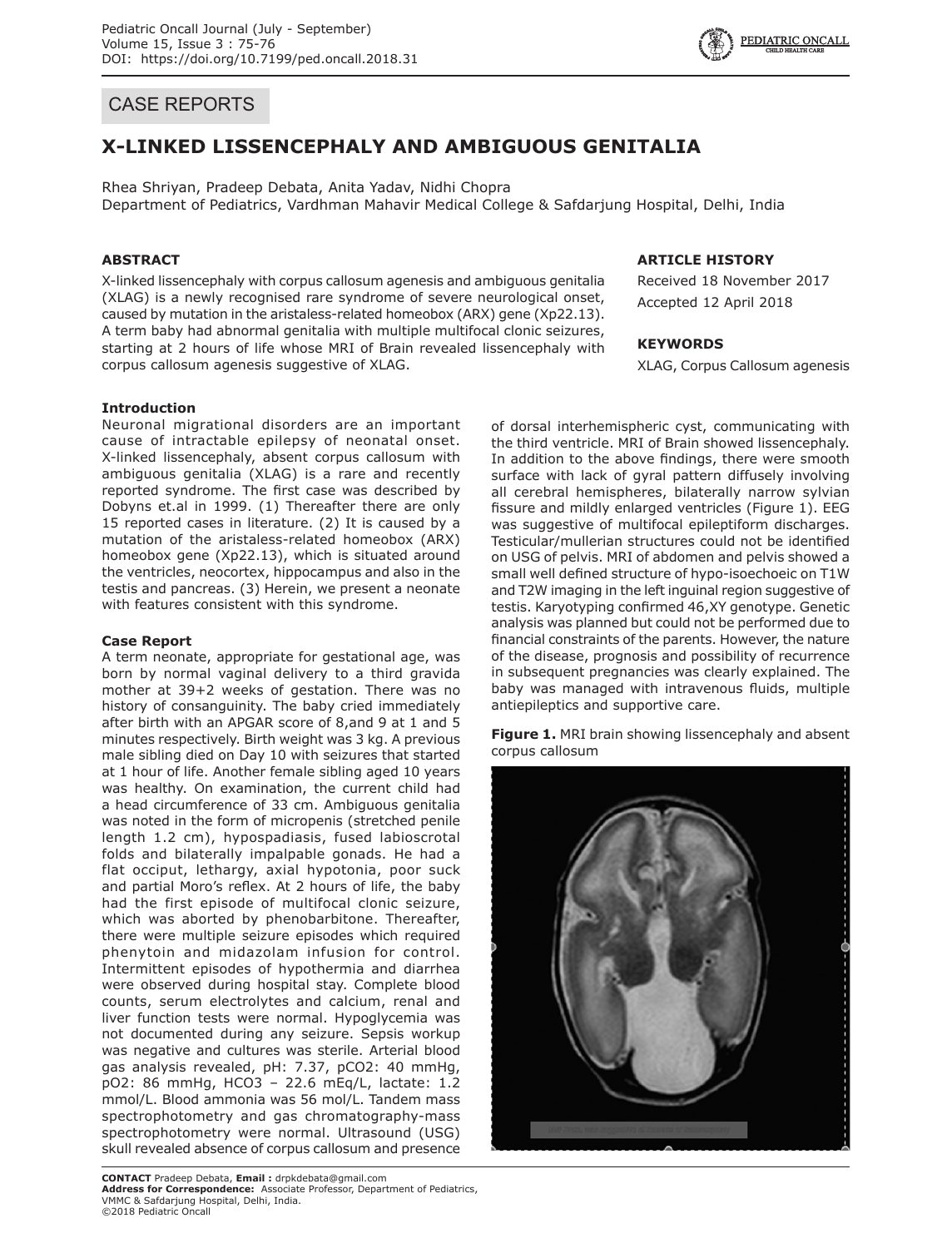

# **X-LINKED LISSENCEPHALY AND AMBIGUOUS GENITALIA**

Rhea Shriyan, Pradeep Debata, Anita Yadav, Nidhi Chopra Department of Pediatrics, Vardhman Mahavir Medical College & Safdarjung Hospital, Delhi, India

## **ABSTRACT**

X-linked lissencephaly with corpus callosum agenesis and ambiguous genitalia (XLAG) is a newly recognised rare syndrome of severe neurological onset, caused by mutation in the aristaless-related homeobox (ARX) gene (Xp22.13). A term baby had abnormal genitalia with multiple multifocal clonic seizures, starting at 2 hours of life whose MRI of Brain revealed lissencephaly with corpus callosum agenesis suggestive of XLAG.

## **ARTICLE HISTORY**

Received 18 November 2017 Accepted 12 April 2018

### **KEYWORDS**

XLAG, Corpus Callosum agenesis

### **Introduction**

Neuronal migrational disorders are an important cause of intractable epilepsy of neonatal onset. X-linked lissencephaly, absent corpus callosum with ambiguous genitalia (XLAG) is a rare and recently reported syndrome. The first case was described by Dobyns et.al in 1999. (1) Thereafter there are only 15 reported cases in literature. (2) It is caused by a mutation of the aristaless-related homeobox (ARX) homeobox gene (Xp22.13), which is situated around the ventricles, neocortex, hippocampus and also in the testis and pancreas. (3) Herein, we present a neonate with features consistent with this syndrome.

#### **Case Report**

A term neonate, appropriate for gestational age, was born by normal vaginal delivery to a third gravida mother at 39+2 weeks of gestation. There was no history of consanguinity. The baby cried immediately after birth with an APGAR score of 8,and 9 at 1 and 5 minutes respectively. Birth weight was 3 kg. A previous male sibling died on Day 10 with seizures that started at 1 hour of life. Another female sibling aged 10 years was healthy. On examination, the current child had a head circumference of 33 cm. Ambiguous genitalia was noted in the form of micropenis (stretched penile length 1.2 cm), hypospadiasis, fused labioscrotal folds and bilaterally impalpable gonads. He had a flat occiput, lethargy, axial hypotonia, poor suck and partial Moro's reflex. At 2 hours of life, the baby had the first episode of multifocal clonic seizure, which was aborted by phenobarbitone. Thereafter, there were multiple seizure episodes which required phenytoin and midazolam infusion for control. Intermittent episodes of hypothermia and diarrhea were observed during hospital stay. Complete blood counts, serum electrolytes and calcium, renal and liver function tests were normal. Hypoglycemia was not documented during any seizure. Sepsis workup was negative and cultures was sterile. Arterial blood gas analysis revealed, pH: 7.37, pCO2: 40 mmHg, pO2: 86 mmHg, HCO3 – 22.6 mEq/L, lactate: 1.2 mmol/L. Blood ammonia was 56 mol/L. Tandem mass spectrophotometry and gas chromatography-mass spectrophotometry were normal. Ultrasound (USG) skull revealed absence of corpus callosum and presence

**CONTACT** Pradeep Debata, **Email :** drpkdebata@gmail.com **Address for Correspondence:** Associate Professor, Department of Pediatrics, VMMC & Safdarjung Hospital, Delhi, India. ©2018 Pediatric Oncall

of dorsal interhemispheric cyst, communicating with the third ventricle. MRI of Brain showed lissencephaly. In addition to the above findings, there were smooth surface with lack of gyral pattern diffusely involving all cerebral hemispheres, bilaterally narrow sylvian fissure and mildly enlarged ventricles (Figure 1). EEG was suggestive of multifocal epileptiform discharges. Testicular/mullerian structures could not be identified on USG of pelvis. MRI of abdomen and pelvis showed a small well defined structure of hypo-isoechoeic on T1W and T2W imaging in the left inguinal region suggestive of testis. Karyotyping confirmed 46,XY genotype. Genetic analysis was planned but could not be performed due to financial constraints of the parents. However, the nature of the disease, prognosis and possibility of recurrence in subsequent pregnancies was clearly explained. The baby was managed with intravenous fluids, multiple antiepileptics and supportive care.

**Figure 1.** MRI brain showing lissencephaly and absent corpus callosum